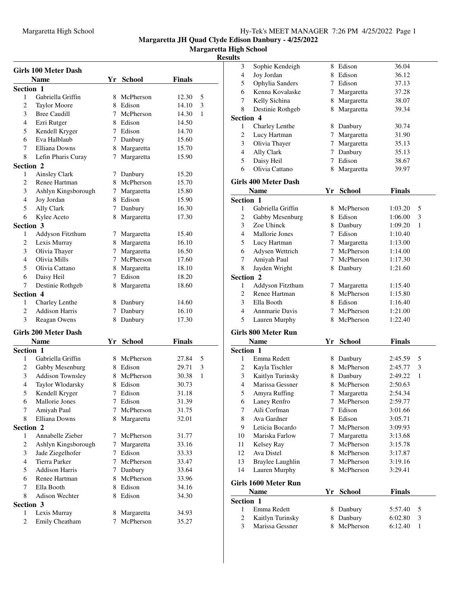**Margaretta High School**

### **Resu**

|           | <b>Girls 100 Meter Dash</b> |    |               |               |   |
|-----------|-----------------------------|----|---------------|---------------|---|
|           | <b>Name</b>                 | Yr | <b>School</b> | Finals        |   |
| Section 1 |                             |    |               |               |   |
| 1         | Gabriella Griffin           | 8  | McPherson     | 12.30         | 5 |
| 2         | <b>Taylor Moore</b>         |    | 8 Edison      | 14.10         | 3 |
| 3         | <b>Bree Caudill</b>         | 7  | McPherson     | 14.30         | 1 |
| 4         | Ezri Rutger                 |    | 8 Edison      | 14.50         |   |
| 5         | Kendell Kryger              |    | 7 Edison      | 14.70         |   |
| 6         | Eva Halblaub                |    | 7 Danbury     | 15.60         |   |
| 7         | Elliana Downs               |    | 8 Margaretta  | 15.70         |   |
| 8         | Lefin Pharis Curay          | 7  | Margaretta    | 15.90         |   |
| Section 2 |                             |    |               |               |   |
| 1         | Ainsley Clark               |    | 7 Danbury     | 15.20         |   |
| 2         | Renee Hartman               |    | 8 McPherson   | 15.70         |   |
| 3         | Ashlyn Kingsborough         |    | 7 Margaretta  | 15.80         |   |
| 4         | Joy Jordan                  |    | 8 Edison      | 15.90         |   |
| 5         | Ally Clark                  |    | 7 Danbury     | 16.30         |   |
| 6         | Kylee Aceto                 | 8  | Margaretta    | 17.30         |   |
| Section 3 |                             |    |               |               |   |
| 1         | Addyson Fitzthum            | 7. | Margaretta    | 15.40         |   |
| 2         | Lexis Murray                |    | 8 Margaretta  | 16.10         |   |
| 3         | Olivia Thayer               | 7  | Margaretta    | 16.50         |   |
| 4         | Olivia Mills                |    | 7 McPherson   | 17.60         |   |
| 5         | Olivia Cattano              |    | 8 Margaretta  | 18.10         |   |
| 6         | Daisy Heil                  |    | 7 Edison      | 18.20         |   |
| 7         | Destinie Rothgeb            | 8  | Margaretta    | 18.60         |   |
| Section 4 |                             |    |               |               |   |
| 1         | Charley Lenthe              |    | 8 Danbury     | 14.60         |   |
| 2         | <b>Addison Harris</b>       |    | 7 Danbury     | 16.10         |   |
| 3         | Reagan Owens                | 8  | Danbury       | 17.30         |   |
|           |                             |    |               |               |   |
|           | <b>Girls 200 Meter Dash</b> |    |               |               |   |
|           | <b>Name</b>                 |    | Yr School     | <b>Finals</b> |   |
| Section 1 |                             |    |               |               |   |
| 1         | Gabriella Griffin           |    | 8 McPherson   | 27.84         | 5 |
| 2         | Gabby Mesenburg             |    | 8 Edison      | 29.71         | 3 |
| 3         | <b>Addison Townsley</b>     |    | 8 McPherson   | 30.38         | 1 |
| 4         | Taylor Wlodarsky            | 8  | Edison        | 30.73         |   |
| 5         | Kendell Kryger              | 7  | Edison        | 31.18         |   |
| 6         | Mallorie Jones              | 7  | Edison        | 31.39         |   |
| 7         | Amiyah Paul                 | 7  | McPherson     | 31.75         |   |
| 8         | <b>Elliana Downs</b>        | 8  | Margaretta    | 32.01         |   |
| Section 2 |                             |    |               |               |   |
| 1         | Annabelle Zieber            | 7  | McPherson     | 31.77         |   |
| 2         | Ashlyn Kingsborough         | 7  | Margaretta    | 33.16         |   |
| 3         | Jade Ziegelhofer            |    | 7 Edison      | 33.33         |   |
| 4         | <b>Tierra Parker</b>        |    | 7 McPherson   | 33.47         |   |
| 5         | <b>Addison Harris</b>       |    | 7 Danbury     | 33.64         |   |
| 6         | Renee Hartman               |    | 8 McPherson   | 33.96         |   |
| 7         | Ella Booth                  |    | 8 Edison      | 34.16         |   |
| 8         | Adison Wechter              | 8  | Edison        | 34.30         |   |
| Section 3 |                             |    |               |               |   |
| 1         | Lexis Murray                |    | 8 Margaretta  | 34.93         |   |
| 2         | Emily Cheatham              | 7  | McPherson     | 35.27         |   |

| ults             |                                   |                 |                         |               |   |
|------------------|-----------------------------------|-----------------|-------------------------|---------------|---|
| 3                | Sophie Kendeigh                   | 8               | Edison                  | 36.04         |   |
| 4                | Joy Jordan                        |                 | 8 Edison                | 36.12         |   |
| 5                | Ophylia Sanders                   |                 | 7 Edison                | 37.13         |   |
| 6                | Kenna Kovalaske                   | $7\phantom{.0}$ | Margaretta              | 37.28         |   |
| 7                | Kelly Sichina                     |                 | 8 Margaretta            | 38.07         |   |
| 8                | Destinie Rothgeb                  | 8               | Margaretta              | 39.34         |   |
| Section 4        |                                   |                 |                         |               |   |
| 1                | Charley Lenthe                    |                 | 8 Danbury               | 30.74         |   |
| $\overline{c}$   | Lucy Hartman                      |                 | 7 Margaretta            | 31.90         |   |
| 3                | Olivia Thayer                     | 7               | Margaretta              | 35.13         |   |
| 4                | Ally Clark                        | 7               | Danbury                 | 35.13         |   |
| 5                | Daisy Heil                        | 7               | Edison                  | 38.67         |   |
| 6                | Olivia Cattano                    | 8               | Margaretta              | 39.97         |   |
|                  |                                   |                 |                         |               |   |
|                  | <b>Girls 400 Meter Dash</b>       |                 |                         |               |   |
|                  | <b>Name</b>                       | Yr              | <b>School</b>           | <b>Finals</b> |   |
| <b>Section 1</b> |                                   |                 |                         |               |   |
| 1                | Gabriella Griffin                 | 8               | McPherson               | 1:03.20       | 5 |
| 2                | Gabby Mesenburg                   |                 | 8 Edison                | 1:06.00       | 3 |
| 3                | Zoe Uhinck                        |                 | 8 Danbury               | 1:09.20       | 1 |
| 4                | Mallorie Jones                    |                 | 7 Edison                | 1:10.40       |   |
| 5                | Lucy Hartman                      |                 | 7 Margaretta            | 1:13.00       |   |
| 6                | Adysen Wettrich                   |                 | 7 McPherson             | 1:14.00       |   |
| 7                | Amiyah Paul                       |                 | 7 McPherson             | 1:17.30       |   |
| 8                | Jayden Wright                     | 8.              | Danbury                 | 1:21.60       |   |
| Section 2        |                                   |                 |                         |               |   |
| 1                | Addyson Fitzthum                  | 7               | Margaretta              | 1:15.40       |   |
| 2                | Renee Hartman                     |                 | 8 McPherson             | 1:15.80       |   |
| 3                | Ella Booth                        |                 | 8 Edison                | 1:16.40       |   |
| 4                | <b>Annmarie Davis</b>             |                 | 7 McPherson             | 1:21.00       |   |
| 5                | Lauren Murphy                     | 8               | McPherson               | 1:22.40       |   |
|                  | Girls 800 Meter Run               |                 |                         |               |   |
|                  | <b>Name</b>                       | Yr              | <b>School</b>           | <b>Finals</b> |   |
| Section 1        |                                   |                 |                         |               |   |
| 1                | Emma Redett                       |                 | 8 Danbury               | 2:45.59       | 5 |
| $\overline{c}$   | Kayla Tischler                    |                 | 8 McPherson             | 2:45.77       | 3 |
| 3                | Kaitlyn Turinsky                  |                 | 8 Danbury               | 2:49.22       | 1 |
| 4                | Marissa Gessner                   | 8               | McPherson               | 2:50.63       |   |
| 5                |                                   | 7               |                         | 2:54.34       |   |
| 6                | Amyra Ruffing<br>Laney Renfro     | 7               | Margaretta<br>McPherson | 2:59.77       |   |
|                  | Aili Corfman                      | 7               | Edison                  |               |   |
| 7                | Ava Gardner                       |                 | 8 Edison                | 3:01.66       |   |
| 8                |                                   |                 |                         | 3:05.71       |   |
| 9                | Leticia Bocardo<br>Mariska Farlow | 7               | McPherson               | 3:09.93       |   |
| 10               |                                   | 7               | Margaretta<br>McPherson | 3:13.68       |   |
| 11               | Kelsey Ray                        | 7               |                         | 3:15.78       |   |
| 12               | Ava Distel                        |                 | 8 McPherson             | 3:17.87       |   |
| 13               | Braylee Laughlin                  |                 | 7 McPherson             | 3:19.16       |   |
| 14               | Lauren Murphy                     | 8               | McPherson               | 3:29.41       |   |
|                  | Girls 1600 Meter Run              |                 |                         |               |   |
|                  | <b>Name</b>                       | Yr              | <b>School</b>           | <b>Finals</b> |   |
| Section 1        |                                   |                 |                         |               |   |
| 1                | Emma Redett                       | 8               | Danbury                 | 5:57.40       | 5 |
| 2                | Kaitlyn Turinsky                  | 8               | Danbury                 | 6:02.80       | 3 |
| 3                | Marissa Gessner                   | 8               | McPherson               | 6:12.40       | 1 |
|                  |                                   |                 |                         |               |   |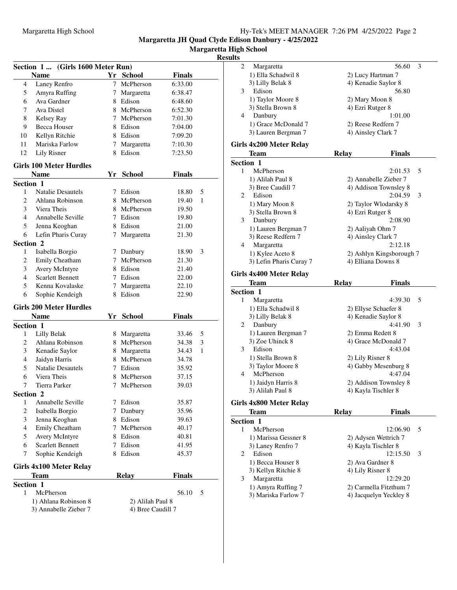**Margaretta High School**

# **Resul**

|                         | (Girls 1600 Meter Run)<br>Section 1 |    |                   |               |   |
|-------------------------|-------------------------------------|----|-------------------|---------------|---|
|                         | <b>Name</b>                         |    | Yr School         | <b>Finals</b> |   |
| 4                       | Laney Renfro                        |    | 7 McPherson       | 6:33.00       |   |
| 5                       | Amyra Ruffing                       | 7  | Margaretta        | 6:38.47       |   |
| 6                       | Ava Gardner                         |    | 8 Edison          | 6:48.60       |   |
| 7                       | Ava Distel                          |    | 8 McPherson       | 6:52.30       |   |
| 8                       | Kelsey Ray                          |    | 7 McPherson       | 7:01.30       |   |
| 9                       | Becca Houser                        |    | 8 Edison          | 7:04.00       |   |
| 10                      | Kellyn Ritchie                      |    | 8 Edison          | 7:09.20       |   |
| 11                      | Mariska Farlow                      |    | 7 Margaretta      | 7:10.30       |   |
| 12                      | <b>Lily Risner</b>                  |    | 8 Edison          | 7:23.50       |   |
|                         | <b>Girls 100 Meter Hurdles</b>      |    |                   |               |   |
|                         | <b>Name</b>                         | Yr | <b>School</b>     | <b>Finals</b> |   |
|                         | Section 1                           |    |                   |               |   |
| 1                       | <b>Natalie Desautels</b>            |    | 7 Edison          | 18.80         | 5 |
| $\overline{c}$          | Ahlana Robinson                     |    | 8 McPherson       | 19.40         | 1 |
| 3                       | Viera Theis                         |    | 8 McPherson       | 19.50         |   |
| 4                       | Annabelle Seville                   |    | 7 Edison          | 19.80         |   |
| 5                       | Jenna Keoghan                       |    | 8 Edison          | 21.00         |   |
| 6                       | Lefin Pharis Curay                  | 7  | Margaretta        | 21.30         |   |
|                         | Section 2                           |    |                   |               |   |
| 1                       | Isabella Borgio                     |    | 7 Danbury         | 18.90         | 3 |
| 2                       | Emily Cheatham                      |    | 7 McPherson       | 21.30         |   |
| 3                       | Avery McIntyre                      |    | 8 Edison          | 21.40         |   |
| 4                       | <b>Scarlett Bennett</b>             |    | 7 Edison          | 22.00         |   |
| 5                       | Kenna Kovalaske                     |    | 7 Margaretta      | 22.10         |   |
| 6                       | Sophie Kendeigh                     |    | 8 Edison          | 22.90         |   |
|                         | <b>Girls 200 Meter Hurdles</b>      |    |                   |               |   |
|                         | <b>Name</b>                         | Yr | <b>School</b>     | <b>Finals</b> |   |
|                         | Section 1                           |    |                   |               |   |
| 1                       | Lilly Belak                         |    | 8 Margaretta      | 33.46         | 5 |
| 2                       | Ahlana Robinson                     |    | 8 McPherson       | 34.38         | 3 |
| 3                       | Kenadie Saylor                      |    | 8 Margaretta      | 34.43         | 1 |
| 4                       | Jaidyn Harris                       |    | 8 McPherson       | 34.78         |   |
| 5                       | <b>Natalie Desautels</b>            |    | 7 Edison          | 35.92         |   |
| 6                       | Viera Theis                         |    | 8 McPherson       | 37.15         |   |
| 7                       | <b>Tierra Parker</b>                | 7  | McPherson         | 39.03         |   |
|                         | Section 2                           |    |                   |               |   |
| $\mathbf{1}$            | Annabelle Seville                   | 7  | Edison            | 35.87         |   |
| $\overline{\mathbf{c}}$ | Isabella Borgio                     | 7  | Danbury           | 35.96         |   |
| 3                       | Jenna Keoghan                       |    | 8 Edison          | 39.63         |   |
| $\overline{4}$          | Emily Cheatham                      | 7  | McPherson         | 40.17         |   |
| 5                       | Avery McIntyre                      |    | 8 Edison          | 40.81         |   |
| 6                       | <b>Scarlett Bennett</b>             | 7  | Edison            | 41.95         |   |
| 7                       | Sophie Kendeigh                     |    | 8 Edison          | 45.37         |   |
|                         | Girls 4x100 Meter Relay             |    |                   |               |   |
|                         | <b>Team</b>                         |    | <b>Relay</b>      | <b>Finals</b> |   |
|                         | Section 1                           |    |                   |               |   |
| 1                       | McPherson                           |    |                   | 56.10         | 5 |
|                         | 1) Ahlana Robinson 8                |    | 2) Alilah Paul 8  |               |   |
|                         | 3) Annabelle Zieber 7               |    | 4) Bree Caudill 7 |               |   |
|                         |                                     |    |                   |               |   |

| ults             |                                           |                                                  |               |
|------------------|-------------------------------------------|--------------------------------------------------|---------------|
| 2                | Margaretta                                |                                                  | 56.60<br>3    |
|                  | 1) Ella Schadwil 8                        | 2) Lucy Hartman 7                                |               |
|                  | 3) Lilly Belak 8                          | 4) Kenadie Saylor 8                              |               |
| 3                | Edison                                    |                                                  | 56.80         |
|                  | 1) Taylor Moore 8                         | 2) Mary Moon 8                                   |               |
|                  | 3) Stella Brown 8                         | 4) Ezri Rutger 8                                 |               |
| 4                | Danbury                                   |                                                  | 1:01.00       |
|                  | 1) Grace McDonald 7                       | 2) Reese Redfern 7                               |               |
|                  | 3) Lauren Bergman 7                       | 4) Ainsley Clark 7                               |               |
|                  |                                           |                                                  |               |
|                  | Girls 4x200 Meter Relay                   |                                                  |               |
|                  | Team                                      | <b>Relay</b>                                     | <b>Finals</b> |
| Section 1        |                                           |                                                  |               |
| 1                | McPherson                                 |                                                  | 5<br>2:01.53  |
|                  | 1) Alilah Paul 8                          | 2) Annabelle Zieber 7                            |               |
|                  | 3) Bree Caudill 7                         | 4) Addison Townsley 8                            |               |
| 2                | Edison                                    |                                                  | 3<br>2:04.59  |
|                  | 1) Mary Moon 8                            | 2) Taylor Wlodarsky 8                            |               |
|                  | 3) Stella Brown 8                         | 4) Ezri Rutger 8                                 |               |
| 3                | Danbury                                   |                                                  | 2:08.90       |
|                  | 1) Lauren Bergman 7                       | 2) Aaliyah Ohm 7                                 |               |
|                  | 3) Reese Redfern 7                        | 4) Ainsley Clark 7                               |               |
| 4                | Margaretta                                |                                                  | 2:12.18       |
|                  | 1) Kylee Aceto 8                          | 2) Ashlyn Kingsborough 7                         |               |
|                  | 3) Lefin Pharis Curay 7                   | 4) Elliana Downs 8                               |               |
|                  |                                           |                                                  |               |
|                  | Girls 4x400 Meter Relay                   |                                                  |               |
|                  |                                           |                                                  |               |
|                  | <b>Team</b>                               | Relay                                            | <b>Finals</b> |
| <b>Section 1</b> |                                           |                                                  |               |
| 1                | Margaretta                                |                                                  | 4:39.30<br>5  |
|                  | 1) Ella Schadwil 8                        | 2) Ellyse Schaefer 8                             |               |
|                  | 3) Lilly Belak 8                          | 4) Kenadie Saylor 8                              |               |
| 2                | Danbury                                   |                                                  | 4:41.90<br>3  |
|                  | 1) Lauren Bergman 7                       | 2) Emma Redett 8                                 |               |
|                  | 3) Zoe Uhinck 8                           | 4) Grace McDonald 7                              |               |
| 3                | Edison                                    |                                                  | 4:43.04       |
|                  | 1) Stella Brown 8                         | 2) Lily Risner 8                                 |               |
|                  | 3) Taylor Moore 8                         | 4) Gabby Mesenburg 8                             |               |
| 4                | McPherson                                 |                                                  | 4:47.04       |
|                  | 1) Jaidyn Harris 8                        | 2) Addison Townsley 8                            |               |
|                  | 3) Alilah Paul 8                          | 4) Kayla Tischler 8                              |               |
|                  |                                           |                                                  |               |
|                  | Girls 4x800 Meter Relay                   |                                                  |               |
|                  | Team                                      | <b>Relay</b>                                     | <b>Finals</b> |
| Section 1        |                                           |                                                  |               |
| 1                | McPherson                                 | 12:06.90                                         | 5             |
|                  | 1) Marissa Gessner 8                      | 2) Adysen Wettrich 7                             |               |
|                  | 3) Laney Renfro 7                         | 4) Kayla Tischler 8                              |               |
| 2                | Edison                                    | 12:15.50                                         | 3             |
|                  | 1) Becca Houser 8                         | 2) Ava Gardner 8                                 |               |
|                  | 3) Kellyn Ritchie 8                       | 4) Lily Risner 8                                 |               |
| 3                | Margaretta                                | 12:29.20                                         |               |
|                  | 1) Amyra Ruffing 7<br>3) Mariska Farlow 7 | 2) Carmella Fitzthum 7<br>4) Jacquelyn Yeckley 8 |               |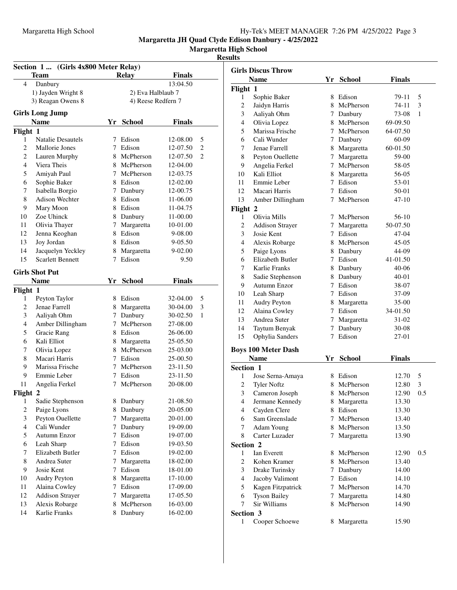#### Margaretta High School Hy-Tek's MEET MANAGER 7:26 PM 4/25/2022 Page 3

**Margaretta JH Quad Clyde Edison Danbury - 4/25/2022**

**Margaretta High School**

### **Results**

|                          | Section 1  (Girls 4x800 Meter Relay) |   |                    |               |                |                | <b>Girls Discus Throw</b> |
|--------------------------|--------------------------------------|---|--------------------|---------------|----------------|----------------|---------------------------|
|                          | <b>Team</b>                          |   | <b>Relay</b>       | Finals        |                |                | <b>Name</b>               |
| 4                        | Danbury                              |   |                    | 13:04.50      |                |                |                           |
|                          | 1) Jayden Wright 8                   |   | 2) Eva Halblaub 7  |               |                | Flight 1       |                           |
|                          | 3) Reagan Owens 8                    |   | 4) Reese Redfern 7 |               |                | 1              | Sophie Baker              |
|                          | <b>Girls Long Jump</b>               |   |                    |               |                | $\overline{c}$ | Jaidyn Harris             |
|                          |                                      |   |                    |               |                | 3              | Aaliyah Ohm               |
|                          | <b>Name</b>                          |   | Yr School          | <b>Finals</b> |                | $\overline{4}$ | Olivia Lopez              |
| Flight 1                 |                                      |   |                    |               |                | 5              | Marissa Frisch            |
| 1                        | <b>Natalie Desautels</b>             |   | 7 Edison           | 12-08.00      | 5              | 6              | Cali Wunder               |
| $\overline{2}$           | Mallorie Jones                       | 7 | Edison             | 12-07.50      | $\overline{c}$ | 7              | Jenae Farrell             |
| $\overline{2}$           | Lauren Murphy                        | 8 | McPherson          | 12-07.50      | 2              | 8              | Peyton Ouellet            |
| $\overline{4}$           | Viera Theis                          | 8 | McPherson          | 12-04.00      |                | 9              | Angelia Ferkel            |
| 5                        | Amiyah Paul                          | 7 | McPherson          | 12-03.75      |                | 10             | Kali Elliot               |
| 6                        | Sophie Baker                         | 8 | Edison             | 12-02.00      |                | 11             | Emmie Leber               |
| 7                        | Isabella Borgio                      | 7 | Danbury            | 12-00.75      |                | 12             | Macari Harris             |
| $\,8\,$                  | Adison Wechter                       | 8 | Edison             | 11-06.00      |                | 13             | <b>Amber Dilling</b>      |
| 9                        | Mary Moon                            |   | 8 Edison           | 11-04.75      |                | Flight 2       |                           |
| 10                       | Zoe Uhinck                           | 8 | Danbury            | 11-00.00      |                | 1              | Olivia Mills              |
| 11                       | Olivia Thayer                        | 7 | Margaretta         | 10-01.00      |                | $\overline{c}$ | <b>Addison Stray</b>      |
| 12                       | Jenna Keoghan                        | 8 | Edison             | 9-08.00       |                | 3              | Josie Kent                |
| 13                       | Joy Jordan                           |   | 8 Edison           | 9-05.50       |                | $\overline{4}$ | Alexis Robarg             |
| 14                       | Jacquelyn Yeckley                    | 8 | Margaretta         | 9-02.00       |                | 5              | Paige Lyons               |
| 15                       | <b>Scarlett Bennett</b>              |   | 7 Edison           | 9.50          |                | 6              | Elizabeth Butl            |
|                          | <b>Girls Shot Put</b>                |   |                    |               |                | 7              | Karlie Franks             |
|                          | <b>Name</b>                          |   |                    |               |                | 8              | Sadie Stephen:            |
|                          |                                      |   | Yr School          | Finals        |                | 9              | Autumn Enzor              |
| Flight 1                 | Peyton Taylor                        |   |                    |               | 5              | 10             | Leah Sharp                |
| 1                        |                                      |   | 8 Edison           | 32-04.00      |                | 11             | Audry Peyton              |
| $\overline{c}$           | Jenae Farrell                        |   | Margaretta         | 30-04.00      | 3              | 12             | Alaina Cowley             |
| 3                        | Aaliyah Ohm                          | 7 | Danbury            | 30-02.50      | 1              | 13             | Andrea Suter              |
| $\overline{4}$           | Amber Dillingham                     | 7 | McPherson          | 27-08.00      |                | 14             | Taytum Benya              |
| 5                        | Gracie Rang                          | 8 | Edison             | 26-06.00      |                | 15             | Ophylia Sande             |
| 6                        | Kali Elliot                          | 8 | Margaretta         | 25-05.50      |                |                |                           |
| 7                        | Olivia Lopez                         | 8 | McPherson          | 25-03.00      |                |                | <b>Boys 100 Meter Das</b> |
| 8                        | Macari Harris                        | 7 | Edison             | 25-00.50      |                |                | <b>Name</b>               |
| 9                        | Marissa Frische                      | 7 | McPherson          | 23-11.50      |                | Section 1      |                           |
| 9                        | Emmie Leber                          | 7 | Edison             | 23-11.50      |                | 1              | Jose Serna-An             |
| 11                       | Angelia Ferkel                       | 7 | McPherson          | 20-08.00      |                | 2              | <b>Tyler Noftz</b>        |
| Flight 2                 |                                      |   |                    |               |                | 3              | Cameron Josep             |
| 1                        | Sadie Stephenson                     |   | 8 Danbury          | 21-08.50      |                | 4              | Jermane Kenn              |
| $\overline{c}$           | Paige Lyons                          | 8 | Danbury            | 20-05.00      |                | $\overline{4}$ | Cayden Clere              |
| $\mathfrak{Z}$           | Peyton Ouellette                     | 7 | Margaretta         | 20-01.00      |                | 6              | Sam Greenslac             |
| $\overline{\mathcal{L}}$ | Cali Wunder                          | 7 | Danbury            | 19-09.00      |                | 7              | Adam Young                |
| 5                        | Autumn Enzor                         | 7 | Edison             | 19-07.00      |                | 8              | Carter Luzader            |
| 6                        | Leah Sharp                           | 7 | Edison             | 19-03.50      |                | Section 2      |                           |
| 7                        | Elizabeth Butler                     | 7 | Edison             | 19-02.00      |                | 1              | Ian Everett               |
| 8                        | Andrea Suter                         | 7 | Margaretta         | 18-02.00      |                | $\mathbf{2}$   | Kohen Kramer              |
| 9                        | Josie Kent                           | 7 | Edison             | 18-01.00      |                | 3              | Drake Turinsk             |
| 10                       | Audry Peyton                         | 8 | Margaretta         | 17-10.00      |                | 4              | Jacoby Valimo             |
| 11                       | Alaina Cowley                        | 7 | Edison             | 17-09.00      |                | 5              | Kagen Fitzpatı            |
| 12                       | <b>Addison Strayer</b>               | 7 | Margaretta         | 17-05.50      |                | 6              | <b>Tyson Bailey</b>       |
| 13                       | Alexis Robarge                       | 8 | McPherson          | 16-03.00      |                | 7              | Sir Williams              |
| 14                       | Karlie Franks                        | 8 | Danbury            | 16-02.00      |                | Section 3      |                           |

|                  | <b>Girls Discus Throw</b>  |    |               |               |     |
|------------------|----------------------------|----|---------------|---------------|-----|
|                  | <b>Name</b>                | Yr | <b>School</b> | <b>Finals</b> |     |
| Flight 1         |                            |    |               |               |     |
| 1                | Sophie Baker               |    | 8 Edison      | 79-11         | 5   |
| 2                | Jaidyn Harris              |    | 8 McPherson   | 74-11         | 3   |
| 3                | Aaliyah Ohm                |    | 7 Danbury     | 73-08         | 1   |
| 4                | Olivia Lopez               |    | 8 McPherson   | 69-09.50      |     |
| 5                | Marissa Frische            | 7  | McPherson     | 64-07.50      |     |
| 6                | Cali Wunder                | 7  | Danbury       | 60-09         |     |
| 7                | Jenae Farrell              |    | 8 Margaretta  | 60-01.50      |     |
| 8                | Peyton Ouellette           | 7  | Margaretta    | 59-00         |     |
| 9                | Angelia Ferkel             |    | 7 McPherson   | 58-05         |     |
| 10               | Kali Elliot                |    | 8 Margaretta  | 56-05         |     |
| 11               | Emmie Leber                |    | 7 Edison      | 53-01         |     |
| 12               | Macari Harris              |    | 7 Edison      | 50-01         |     |
| 13               | Amber Dillingham           | 7  | McPherson     | 47-10         |     |
| Flight 2         |                            |    |               |               |     |
| 1                | Olivia Mills               | 7  | McPherson     | 56-10         |     |
| 2                | <b>Addison Strayer</b>     | 7  | Margaretta    | 50-07.50      |     |
| 3                | Josie Kent                 | 7  | Edison        | 47-04         |     |
| 4                | Alexis Robarge             |    | 8 McPherson   | $45 - 05$     |     |
| 5                | Paige Lyons                |    | 8 Danbury     | 44-09         |     |
| 6                | <b>Elizabeth Butler</b>    |    | 7 Edison      | 41-01.50      |     |
| 7                | Karlie Franks              |    | 8 Danbury     | 40-06         |     |
| 8                | Sadie Stephenson           |    | 8 Danbury     | $40 - 01$     |     |
| 9                | Autumn Enzor               |    | 7 Edison      | 38-07         |     |
| 10               | Leah Sharp                 |    | 7 Edison      | 37-09         |     |
| 11               | Audry Peyton               |    | 8 Margaretta  | 35-00         |     |
| 12               | Alaina Cowley              |    | 7 Edison      | 34-01.50      |     |
| 13               | Andrea Suter               | 7  | Margaretta    | 31-02         |     |
| 14               | Taytum Benyak              | 7  | Danbury       | 30-08         |     |
| 15               | Ophylia Sanders            | 7  | Edison        | 27-01         |     |
|                  | <b>Boys 100 Meter Dash</b> |    |               |               |     |
|                  | <b>Name</b>                | Yr | <b>School</b> | Finals        |     |
| <b>Section 1</b> |                            |    |               |               |     |
| 1                | Jose Serna-Amaya           |    | 8 Edison      | 12.70         | 5   |
| 2                | <b>Tyler Noftz</b>         |    | 8 McPherson   | 12.80         | 3   |
| 3                | Cameron Joseph             | 8  | McPherson     | 12.90         | 0.5 |
| 4                | Jermane Kennedy            |    | 8 Margaretta  | 13.30         |     |
| 4                | Cayden Clere               |    | 8 Edison      | 13.30         |     |
| 6                | Sam Greenslade             | 7  | McPherson     | 13.40         |     |
| 7                | <b>Adam Young</b>          |    | 8 McPherson   | 13.50         |     |
| 8                | Carter Luzader             | 7  | Margaretta    | 13.90         |     |
| Section 2        |                            |    |               |               |     |
| 1                | Ian Everett                | 8  | McPherson     | 12.90         | 0.5 |
| $\overline{c}$   | Kohen Kramer               | 8  | McPherson     | 13.40         |     |
| 3                | Drake Turinsky             | 7  | Danbury       | 14.00         |     |
| 4                | Jacoby Valimont            |    | 7 Edison      | 14.10         |     |
| 5                | Kagen Fitzpatrick          | 7  | McPherson     | 14.70         |     |
| 6                | <b>Tyson Bailey</b>        | 7  | Margaretta    | 14.80         |     |
| 7                | Sir Williams               | 8  | McPherson     | 14.90         |     |
| Section 3        |                            |    |               |               |     |
| 1                | Cooper Schoewe             | 8  | Margaretta    | 15.90         |     |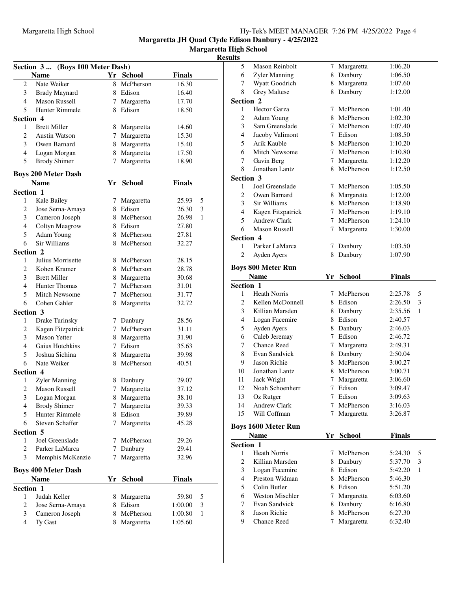**Margaretta High School**

#### **Results**

|                | Section 3  (Boys 100 Meter Dash)  |    |                          |                |   |
|----------------|-----------------------------------|----|--------------------------|----------------|---|
|                | <b>Name</b>                       |    | Yr School                | <b>Finals</b>  |   |
| 2              | Nate Weiker                       | 8. | McPherson                | 16.30          |   |
| 3              | <b>Brady Maynard</b>              |    | 8 Edison                 | 16.40          |   |
| 4              | <b>Mason Russell</b>              | 7  | Margaretta               | 17.70          |   |
| 5              | Hunter Rimmele                    |    | 8 Edison                 | 18.50          |   |
| Section 4      |                                   |    |                          |                |   |
| 1              | <b>Brett Miller</b>               |    | 8 Margaretta             | 14.60          |   |
| 2              | <b>Austin Watson</b>              | 7  | Margaretta               | 15.30          |   |
| 3              | Owen Barnard                      |    | 8 Margaretta             | 15.40          |   |
| 4              | Logan Morgan                      |    | 8 Margaretta             | 17.50          |   |
| 5              | <b>Brody Shimer</b>               | 7  | Margaretta               | 18.90          |   |
|                |                                   |    |                          |                |   |
|                | <b>Boys 200 Meter Dash</b>        |    |                          |                |   |
|                | <b>Name</b>                       |    | Yr School                | <b>Finals</b>  |   |
| Section 1      |                                   |    |                          |                |   |
| 1              | Kale Bailey                       |    | 7 Margaretta<br>8 Edison | 25.93          | 5 |
| 2<br>3         | Jose Serna-Amaya                  |    | 8 McPherson              | 26.30          | 3 |
|                | Cameron Joseph                    |    |                          | 26.98          | 1 |
| 4              | Coltyn Meagrow                    | 8  | 8 Edison<br>McPherson    | 27.80          |   |
| 5<br>6         | <b>Adam Young</b><br>Sir Williams | 8  | McPherson                | 27.81<br>32.27 |   |
|                |                                   |    |                          |                |   |
| Section 2<br>1 | Julius Morrisette                 |    | 8 McPherson              | 28.15          |   |
| 2              | Kohen Kramer                      |    | 8 McPherson              | 28.78          |   |
| 3              | <b>Brett Miller</b>               |    | 8 Margaretta             | 30.68          |   |
| 4              | <b>Hunter Thomas</b>              |    | 7 McPherson              | 31.01          |   |
| 5              | <b>Mitch Newsome</b>              |    | 7 McPherson              | 31.77          |   |
| 6              | Cohen Gahler                      |    | 8 Margaretta             | 32.72          |   |
| Section 3      |                                   |    |                          |                |   |
| 1              | Drake Turinsky                    | 7  | Danbury                  | 28.56          |   |
| 2              | Kagen Fitzpatrick                 | 7  | McPherson                | 31.11          |   |
| 3              | <b>Mason Yetter</b>               | 8  | Margaretta               | 31.90          |   |
| 4              | Gaius Hotchkiss                   |    | 7 Edison                 | 35.63          |   |
| 5              | Joshua Sichina                    | 8  | Margaretta               | 39.98          |   |
| 6              | Nate Weiker                       |    | 8 McPherson              | 40.51          |   |
| Section 4      |                                   |    |                          |                |   |
| 1              | Zyler Manning                     |    | 8 Danbury                | 29.07          |   |
| 2              | <b>Mason Russell</b>              | 7  | Margaretta               | 37.12          |   |
| 3              | Logan Morgan                      |    | 8 Margaretta             | 38.10          |   |
| 4              | <b>Brody Shimer</b>               | 7  | Margaretta               | 39.33          |   |
| 5              | <b>Hunter Rimmele</b>             | 8  | Edison                   | 39.89          |   |
| 6              | Steven Schaffer                   | 7  | Margaretta               | 45.28          |   |
| Section 5      |                                   |    |                          |                |   |
| 1              | Joel Greenslade                   | 7  | McPherson                | 29.26          |   |
| 2              | Parker LaMarca                    | 7  | Danbury                  | 29.41          |   |
| 3              | Memphis McKenzie                  | 7  | Margaretta               | 32.96          |   |
|                |                                   |    |                          |                |   |
|                | <b>Boys 400 Meter Dash</b>        |    |                          |                |   |
|                | <b>Name</b>                       | Yr | <b>School</b>            | Finals         |   |
| Section 1      |                                   |    |                          |                |   |
| 1              | Judah Keller                      |    | 8 Margaretta             | 59.80          | 5 |
| 2              | Jose Serna-Amaya                  |    | 8 Edison                 | 1:00.00        | 3 |
| 3              | Cameron Joseph                    |    | 8 McPherson              | 1:00.80        | 1 |
| $\overline{4}$ | Ty Gast                           | 8. | Margaretta               | 1:05.60        |   |

| uns            |                                    |    |                           |                    |   |
|----------------|------------------------------------|----|---------------------------|--------------------|---|
| 5              | Mason Reinbolt                     |    | 7 Margaretta              | 1:06.20            |   |
| 6              | Zyler Manning                      |    | 8 Danbury                 | 1:06.50            |   |
| 7              | Wyatt Goodrich                     |    | 8 Margaretta              | 1:07.60            |   |
| 8              | <b>Grey Maltese</b>                | 8  | Danbury                   | 1:12.00            |   |
| Section 2      |                                    |    |                           |                    |   |
| 1              | <b>Hector Garza</b>                | 7  | McPherson                 | 1:01.40            |   |
| 2              | Adam Young                         |    | 8 McPherson               | 1:02.30            |   |
| 3              | Sam Greenslade                     | 7  | McPherson                 | 1:07.40            |   |
| 4              | Jacoby Valimont                    |    | 7 Edison                  | 1:08.50            |   |
| 5              | Arik Kauble                        |    | 8 McPherson               | 1:10.20            |   |
| 6              | <b>Mitch Newsome</b>               |    | 7 McPherson               | 1:10.80            |   |
| 7              | Gavin Berg                         | 7  | Margaretta                | 1:12.20            |   |
| 8              | Jonathan Lantz                     | 8  | McPherson                 | 1:12.50            |   |
| Section 3      |                                    |    |                           |                    |   |
| 1              | Joel Greenslade                    |    | 7 McPherson               | 1:05.50            |   |
| 2              | Owen Barnard                       |    | 8 Margaretta              | 1:12.00            |   |
| 3              | Sir Williams                       |    | 8 McPherson               | 1:18.90            |   |
| 4              | Kagen Fitzpatrick                  |    | 7 McPherson               | 1:19.10            |   |
| 5              | Andrew Clark                       | 7  | McPherson                 | 1:24.10            |   |
| 6              | <b>Mason Russell</b>               | 7  | Margaretta                | 1:30.00            |   |
| Section 4      |                                    |    |                           |                    |   |
| 1              | Parker LaMarca                     | 7  | Danbury                   | 1:03.50            |   |
| $\overline{c}$ | Ayden Ayers                        | 8  | Danbury                   | 1:07.90            |   |
|                | <b>Boys 800 Meter Run</b>          |    |                           |                    |   |
|                | <b>Name</b>                        | Yr | <b>School</b>             | Finals             |   |
| Section 1      |                                    |    |                           |                    |   |
| 1              | <b>Heath Norris</b>                | 7  | McPherson                 | 2:25.78            | 5 |
| 2              | Kellen McDonnell                   |    | 8 Edison                  | 2:26.50            | 3 |
| 3              | Killian Marsden                    |    | 8 Danbury                 | 2:35.56            | 1 |
| 4              | Logan Facemire                     |    | 8 Edison                  | 2:40.57            |   |
| 5              | Ayden Ayers                        |    | 8 Danbury                 | 2:46.03            |   |
| 6              | Caleb Jeremay                      |    | 7 Edison                  | 2:46.72            |   |
| 7              | <b>Chance Reed</b>                 | 7  | Margaretta                | 2:49.31            |   |
| 8              | Evan Sandvick                      |    | 8 Danbury                 | 2:50.04            |   |
| 9              | Jason Richie                       |    | 8 McPherson               | 3:00.27            |   |
| 10             | Jonathan Lantz                     |    | 8 McPherson               | 3:00.71            |   |
| 11             | Jack Wright                        | 7  | Margaretta                | 3:06.60            |   |
| 12             | Noah Schoenherr                    | 7  | Edison                    | 3:09.47            |   |
| 13             | Oz Rutger                          | 7  | Edison                    | 3:09.63            |   |
| 14             | Andrew Clark                       | 7  | McPherson                 | 3:16.03            |   |
| 15             | Will Coffman                       | 7  | Margaretta                | 3:26.87            |   |
|                |                                    |    |                           |                    |   |
|                | <b>Boys 1600 Meter Run</b>         |    |                           |                    |   |
|                | Name                               |    | Yr School                 | <b>Finals</b>      |   |
| Section 1      |                                    |    |                           |                    |   |
| 1              | <b>Heath Norris</b>                | 7  | McPherson                 | 5:24.30            | 5 |
| $\overline{2}$ | Killian Marsden                    | 8  | Danbury                   | 5:37.70            | 3 |
| 3              | Logan Facemire                     |    | 8 Edison                  | 5:42.20            | 1 |
| 4              | Preston Widman                     | 8  | McPherson                 | 5:46.30            |   |
| 5              | Colin Butler                       |    | 8 Edison                  | 5:51.20            |   |
| 6              | <b>Weston Mischler</b>             | 7  | Margaretta                | 6:03.60            |   |
| 7              |                                    |    |                           |                    |   |
|                | Evan Sandvick                      |    | 8 Danbury                 | 6:16.80            |   |
| 8<br>9         | Jason Richie<br><b>Chance Reed</b> | 7  | 8 McPherson<br>Margaretta | 6:27.30<br>6:32.40 |   |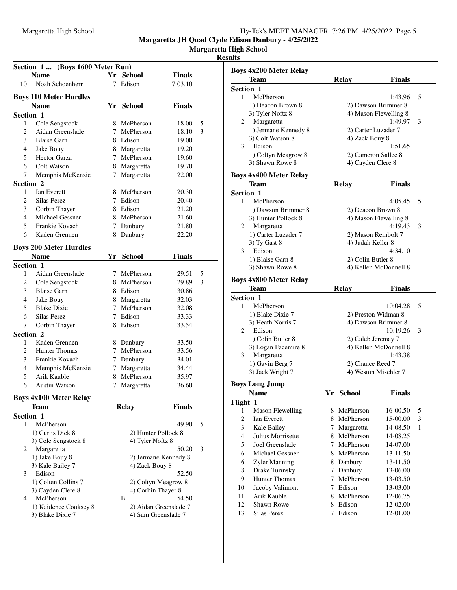**Margaretta High School**

**Results**

|                | Section 1  (Boys 1600 Meter Run)<br><b>Name</b> |   | Yr School            | Finals                |   |                  | <b>Boys 4x200 Meter Relay</b><br>Team |
|----------------|-------------------------------------------------|---|----------------------|-----------------------|---|------------------|---------------------------------------|
| 10             | Noah Schoenherr                                 |   | 7 Edison             | 7:03.10               |   | <b>Section 1</b> |                                       |
|                | <b>Boys 110 Meter Hurdles</b>                   |   |                      |                       |   | $\mathbf{1}$     | McPherson                             |
|                | <b>Name</b>                                     |   | Yr School            | <b>Finals</b>         |   |                  | 1) Deacon Brown 8                     |
|                |                                                 |   |                      |                       |   |                  | 3) Tyler Noftz 8                      |
|                | Section 1                                       |   |                      |                       |   | 2                | Margaretta                            |
| 1              | Cole Sengstock                                  |   | 8 McPherson          | 18.00                 | 5 |                  | 1) Jermane Kennedy 8                  |
| $\overline{c}$ | Aidan Greenslade                                | 7 | McPherson            | 18.10                 | 3 |                  | 3) Colt Watson 8                      |
| 3              | <b>Blaise Garn</b>                              |   | 8 Edison             | 19.00                 | 1 | 3                | Edison                                |
| $\overline{4}$ | Jake Bouy                                       |   | 8 Margaretta         | 19.20                 |   |                  | 1) Coltyn Meagrow 8                   |
| 5              | <b>Hector Garza</b>                             |   | 7 McPherson          | 19.60                 |   |                  | 3) Shawn Rowe 8                       |
| 6              | Colt Watson                                     | 8 | Margaretta           | 19.70                 |   |                  |                                       |
| 7              | Memphis McKenzie                                |   | 7 Margaretta         | 22.00                 |   |                  | <b>Boys 4x400 Meter Relay</b>         |
| Section 2      |                                                 |   |                      |                       |   |                  | Team                                  |
| 1              | Ian Everett                                     |   | 8 McPherson          | 20.30                 |   | Section 1        |                                       |
| 2              | Silas Perez                                     |   | 7 Edison             | 20.40                 |   | $\mathbf{1}$     | McPherson                             |
| 3              | Corbin Thayer                                   |   | 8 Edison             | 21.20                 |   |                  | 1) Dawson Brimmer 8                   |
| 4              | Michael Gessner                                 | 8 | McPherson            | 21.60                 |   |                  | 3) Hunter Pollock 8                   |
| 5              | Frankie Kovach                                  |   | 7 Danbury            | 21.80                 |   | 2                | Margaretta                            |
| 6              | Kaden Grennen                                   |   | 8 Danbury            | 22.20                 |   |                  | 1) Carter Luzader 7                   |
|                | <b>Boys 200 Meter Hurdles</b>                   |   |                      |                       |   |                  | 3) Ty Gast 8                          |
|                | <b>Name</b>                                     |   | Yr School            | <b>Finals</b>         |   | 3                | Edison                                |
|                | Section 1                                       |   |                      |                       |   |                  | 1) Blaise Garn 8                      |
| 1              | Aidan Greenslade                                |   | 7 McPherson          |                       | 5 |                  | 3) Shawn Rowe 8                       |
| $\overline{c}$ |                                                 |   | 8 McPherson          | 29.51<br>29.89        | 3 |                  | <b>Boys 4x800 Meter Relay</b>         |
|                | Cole Sengstock                                  |   |                      |                       |   |                  | <b>Team</b>                           |
| 3              | <b>Blaise Garn</b>                              |   | 8 Edison             | 30.86                 | 1 | Section 1        |                                       |
| $\overline{4}$ | Jake Bouy                                       |   | 8 Margaretta         | 32.03                 |   | 1                | McPherson                             |
| 5              | <b>Blake Dixie</b>                              |   | 7 McPherson          | 32.08                 |   |                  | 1) Blake Dixie 7                      |
| 6              | Silas Perez                                     |   | 7 Edison             | 33.33                 |   |                  | 3) Heath Norris 7                     |
| 7              | Corbin Thayer                                   |   | 8 Edison             | 33.54                 |   | 2                | Edison                                |
| Section 2      |                                                 |   |                      |                       |   |                  | 1) Colin Butler 8                     |
| 1              | Kaden Grennen                                   |   | 8 Danbury            | 33.50                 |   |                  | 3) Logan Facemire 8                   |
| $\overline{c}$ | <b>Hunter Thomas</b>                            |   | 7 McPherson          | 33.56                 |   | 3                | Margaretta                            |
| 3              | Frankie Kovach                                  |   | 7 Danbury            | 34.01                 |   |                  | 1) Gavin Berg 7                       |
| $\overline{4}$ | Memphis McKenzie                                |   | 7 Margaretta         | 34.44                 |   |                  | 3) Jack Wright 7                      |
| 5              | Arik Kauble                                     |   | 8 McPherson          | 35.97                 |   |                  |                                       |
| 6              | <b>Austin Watson</b>                            |   | 7 Margaretta         | 36.60                 |   |                  | <b>Boys Long Jump</b>                 |
|                | <b>Boys 4x100 Meter Relay</b>                   |   |                      |                       |   |                  | <b>Name</b>                           |
|                | <b>Team</b>                                     |   | <b>Relay</b>         | <b>Finals</b>         |   | Flight 1         |                                       |
|                | Section 1                                       |   |                      |                       |   | $\mathbf{1}$     | <b>Mason Flewelling</b>               |
| 1              | McPherson                                       |   |                      | 49.90                 | 5 | $\mathbf{2}$     | Ian Everett                           |
|                | 1) Curtis Dick 8                                |   | 2) Hunter Pollock 8  |                       |   | 3                | Kale Bailey                           |
|                | 3) Cole Sengstock 8                             |   | 4) Tyler Noftz 8     |                       |   | $\overline{4}$   | Julius Morrisette                     |
| 2              | Margaretta                                      |   |                      | 50.20                 | 3 | 5                | Joel Greenslade                       |
|                | 1) Jake Bouy 8                                  |   | 2) Jermane Kennedy 8 |                       |   | 6                | Michael Gessner                       |
|                | 3) Kale Bailey 7                                |   | 4) Zack Bouy 8       |                       |   | 6                | Zyler Manning                         |
| 3              | Edison                                          |   |                      | 52.50                 |   | 8                | Drake Turinsky                        |
|                | 1) Colten Collins 7                             |   | 2) Coltyn Meagrow 8  |                       |   | 9                | Hunter Thomas                         |
|                | 3) Cayden Clere 8                               |   | 4) Corbin Thayer 8   |                       |   | 10               | Jacoby Valimont                       |
| 4              | McPherson                                       |   | B                    | 54.50                 |   | 11               | Arik Kauble                           |
|                | 1) Kaidence Cooksey 8                           |   |                      | 2) Aidan Greenslade 7 |   | 12               | Shawn Rowe                            |
|                | 3) Blake Dixie 7                                |   | 4) Sam Greenslade 7  |                       |   | 13               | Silas Perez                           |
|                |                                                 |   |                      |                       |   |                  |                                       |
|                |                                                 |   |                      |                       |   |                  |                                       |
|                |                                                 |   |                      |                       |   |                  |                                       |

|                  | Boys 4x200 Meter Relay        |      |               |                       |   |
|------------------|-------------------------------|------|---------------|-----------------------|---|
|                  | <b>Team</b>                   |      | <b>Relay</b>  | <b>Finals</b>         |   |
| Section 1        |                               |      |               |                       |   |
| 1                | McPherson                     |      |               | 1:43.96               | 5 |
|                  | 1) Deacon Brown 8             |      |               | 2) Dawson Brimmer 8   |   |
|                  | 3) Tyler Noftz 8              |      |               | 4) Mason Flewelling 8 |   |
| 2                | Margaretta                    |      |               | 1:49.97               | 3 |
|                  | 1) Jermane Kennedy 8          |      |               | 2) Carter Luzader 7   |   |
|                  | 3) Colt Watson 8              |      |               | 4) Zack Bouy 8        |   |
| 3                | Edison                        |      |               | 1:51.65               |   |
|                  | 1) Coltyn Meagrow 8           |      |               | 2) Cameron Sallee 8   |   |
|                  | 3) Shawn Rowe 8               |      |               | 4) Cayden Clere 8     |   |
|                  |                               |      |               |                       |   |
|                  | <b>Boys 4x400 Meter Relay</b> |      |               |                       |   |
|                  | Team                          |      | <b>Relay</b>  | <b>Finals</b>         |   |
| Section 1        |                               |      |               |                       |   |
| 1                | McPherson                     |      |               | 4:05.45               | 5 |
|                  | 1) Dawson Brimmer 8           |      |               | 2) Deacon Brown 8     |   |
|                  | 3) Hunter Pollock 8           |      |               | 4) Mason Flewelling 8 |   |
| 2                | Margaretta                    |      |               | 4:19.43               | 3 |
|                  | 1) Carter Luzader 7           |      |               | 2) Mason Reinbolt 7   |   |
|                  | 3) Ty Gast 8                  |      |               | 4) Judah Keller 8     |   |
| 3                | Edison                        |      |               | 4:34.10               |   |
|                  | 1) Blaise Garn 8              |      |               | 2) Colin Butler 8     |   |
|                  | 3) Shawn Rowe 8               |      |               | 4) Kellen McDonnell 8 |   |
|                  | <b>Boys 4x800 Meter Relay</b> |      |               |                       |   |
|                  | <b>Team</b>                   |      | Relay         | <b>Finals</b>         |   |
| <b>Section 1</b> |                               |      |               |                       |   |
| 1                | McPherson                     |      |               | 10:04.28              | 5 |
|                  | 1) Blake Dixie 7              |      |               | 2) Preston Widman 8   |   |
|                  | 3) Heath Norris 7             |      |               | 4) Dawson Brimmer 8   |   |
| 2                | Edison                        |      |               | 10:19.26              | 3 |
|                  | 1) Colin Butler 8             |      |               | 2) Caleb Jeremay 7    |   |
|                  | 3) Logan Facemire 8           |      |               | 4) Kellen McDonnell 8 |   |
| 3                | Margaretta                    |      |               | 11:43.38              |   |
|                  | 1) Gavin Berg 7               |      |               | 2) Chance Reed 7      |   |
|                  | 3) Jack Wright 7              |      |               | 4) Weston Mischler 7  |   |
|                  |                               |      |               |                       |   |
|                  | <b>Boys Long Jump</b>         |      |               |                       |   |
|                  | <b>Name</b>                   | Yr - | <b>School</b> | <b>Finals</b>         |   |
| Flight 1         |                               |      |               |                       |   |
| 1                | <b>Mason Flewelling</b>       | 8    | McPherson     | 16-00.50              | 5 |
| 2                | Ian Everett                   | 8    | McPherson     | 15-00.00              | 3 |
| 3                | Kale Bailey                   | 7    | Margaretta    | 14-08.50              | 1 |
| 4                | Julius Morrisette             | 8    | McPherson     | 14-08.25              |   |
| 5                | Joel Greenslade               | 7    | McPherson     | 14-07.00              |   |
| 6                | Michael Gessner               |      | 8 McPherson   | 13-11.50              |   |
| 6                | Zyler Manning                 |      | 8 Danbury     | 13-11.50              |   |
| 8                | Drake Turinsky                |      | 7 Danbury     | 13-06.00              |   |
| 9                | Hunter Thomas                 | 7    | McPherson     | 13-03.50              |   |
| 10               | Jacoby Valimont               |      | 7 Edison      | 13-03.00              |   |
| 11               | Arik Kauble                   | 8    | McPherson     | 12-06.75              |   |
| 12               | <b>Shawn Rowe</b>             |      | 8 Edison      | 12-02.00              |   |
| 13               | Silas Perez                   | 7    | Edison        | 12-01.00              |   |
|                  |                               |      |               |                       |   |